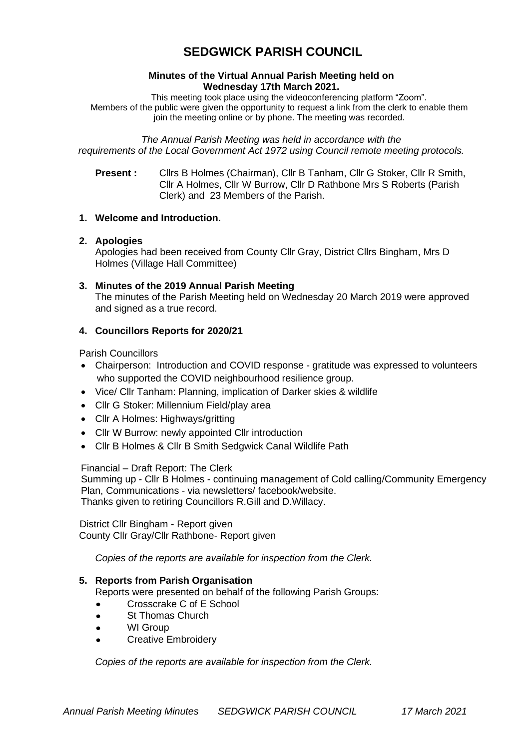# **SEDGWICK PARISH COUNCIL**

#### **Minutes of the Virtual Annual Parish Meeting held on Wednesday 17th March 2021.**

This meeting took place using the videoconferencing platform "Zoom". Members of the public were given the opportunity to request a link from the clerk to enable them join the meeting online or by phone. The meeting was recorded.

*The Annual Parish Meeting was held in accordance with the requirements of the Local Government Act 1972 using Council remote meeting protocols.*

**Present :** Cllrs B Holmes (Chairman), Cllr B Tanham, Cllr G Stoker, Cllr R Smith, Cllr A Holmes, Cllr W Burrow, Cllr D Rathbone Mrs S Roberts (Parish Clerk) and 23 Members of the Parish.

#### **1. Welcome and Introduction.**

#### **2. Apologies**

Apologies had been received from County Cllr Gray, District Cllrs Bingham, Mrs D Holmes (Village Hall Committee)

**3. Minutes of the 2019 Annual Parish Meeting** The minutes of the Parish Meeting held on Wednesday 20 March 2019 were approved and signed as a true record.

## **4. Councillors Reports for 2020/21**

Parish Councillors

- Chairperson: Introduction and COVID response gratitude was expressed to volunteers who supported the COVID neighbourhood resilience group.
- Vice/ Cllr Tanham: Planning, implication of Darker skies & wildlife
- Cllr G Stoker: Millennium Field/play area
- Cllr A Holmes: Highways/gritting
- Cllr W Burrow: newly appointed Cllr introduction
- Cllr B Holmes & Cllr B Smith Sedgwick Canal Wildlife Path

## Financial – Draft Report: The Clerk

Summing up - Cllr B Holmes - continuing management of Cold calling/Community Emergency Plan, Communications - via newsletters/ facebook/website. Thanks given to retiring Councillors R.Gill and D.Willacy.

 District Cllr Bingham - Report given County Cllr Gray/Cllr Rathbone- Report given

*Copies of the reports are available for inspection from the Clerk.*

## **5. Reports from Parish Organisation**

Reports were presented on behalf of the following Parish Groups:

- Crosscrake C of E School
- St Thomas Church
- WI Group
- Creative Embroidery

*Copies of the reports are available for inspection from the Clerk.*